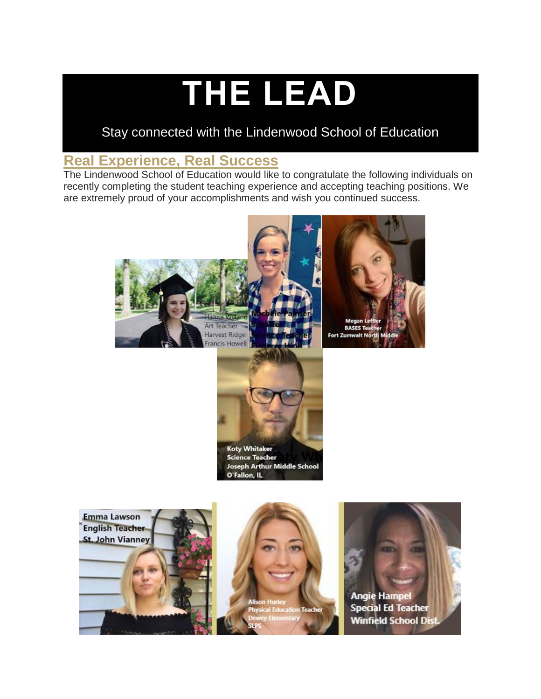# **THE LEAD**

## Stay connected with the Lindenwood School of Education

## **[Real Experience, Real Success](https://lindenwoodleadnews.blogspot.com/2019/08/real-experience-real-success.html)**

The Lindenwood School of Education would like to congratulate the following individuals on recently completing the student teaching experience and accepting teaching positions. We are extremely proud of your accomplishments and wish you continued success.



**Koty Whitaker Science Teacher Joseph Arthur Middle School** O'Fallon, IL

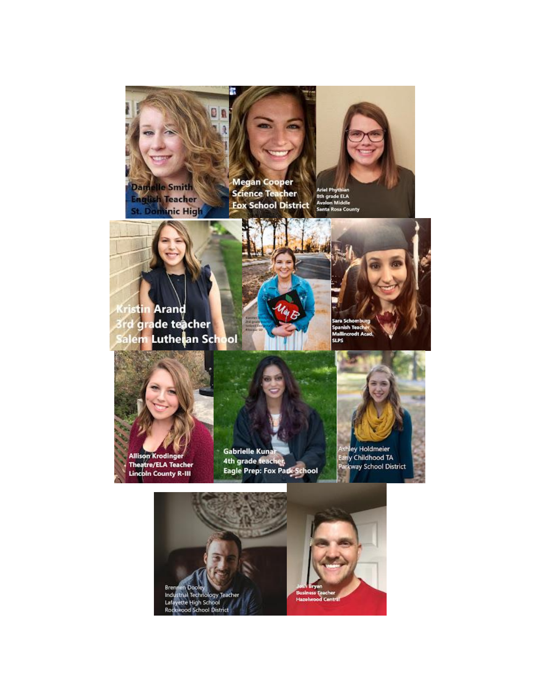



**Science Teacher Fox School District** 



Ariel Phythian<br>8th grade ELA<br>Avalon Middle<br>Santa Rosa County









**Gabrielle Kuna** 4th grade teacher.<br>Eagle Prep: Fox Pack School



Ashley Holdmeier<br>Early Childhood TA<br>Parkway School District

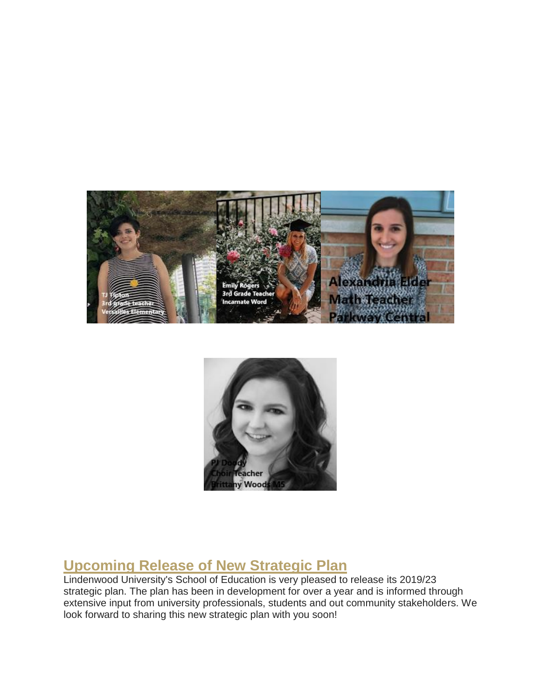



## **[Upcoming Release of New Strategic Plan](https://lindenwoodleadnews.blogspot.com/2019/08/upcoming-release-of-new-strategic-plan.html)**

Lindenwood University's School of Education is very pleased to release its 2019/23 strategic plan. The plan has been in development for over a year and is informed through extensive input from university professionals, students and out community stakeholders. We look forward to sharing this new strategic plan with you soon!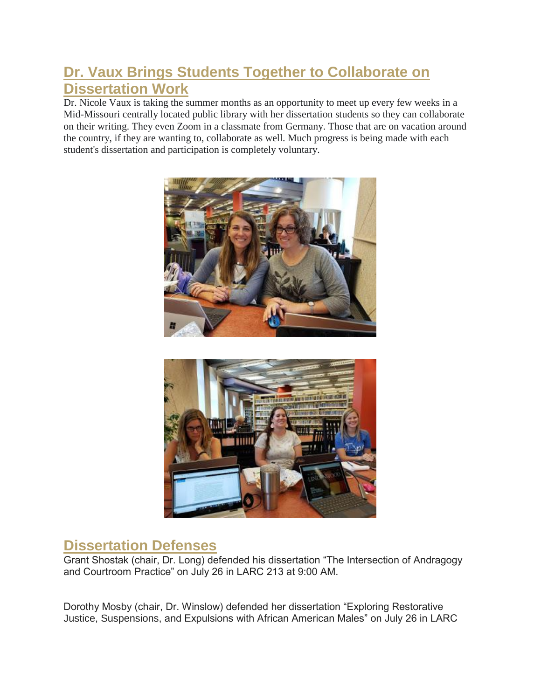# **[Dr. Vaux Brings Students Together to Collaborate on](https://lindenwoodleadnews.blogspot.com/2019/08/dr-vaux-brings-students-together-to.html)  [Dissertation Work](https://lindenwoodleadnews.blogspot.com/2019/08/dr-vaux-brings-students-together-to.html)**

Dr. Nicole Vaux is taking the summer months as an opportunity to meet up every few weeks in a Mid-Missouri centrally located public library with her dissertation students so they can collaborate on their writing. They even Zoom in a classmate from Germany. Those that are on vacation around the country, if they are wanting to, collaborate as well. Much progress is being made with each student's dissertation and participation is completely voluntary.





## **[Dissertation Defenses](https://lindenwoodleadnews.blogspot.com/2019/08/dissertation-defenses.html)**

Grant Shostak (chair, Dr. Long) defended his dissertation "The Intersection of Andragogy and Courtroom Practice" on July 26 in LARC 213 at 9:00 AM.

Dorothy Mosby (chair, Dr. Winslow) defended her dissertation "Exploring Restorative Justice, Suspensions, and Expulsions with African American Males" on July 26 in LARC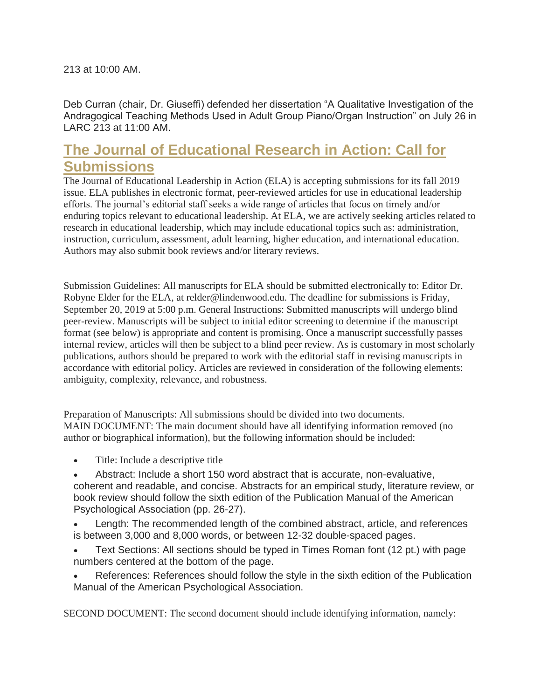213 at 10:00 AM.

Deb Curran (chair, Dr. Giuseffi) defended her dissertation "A Qualitative Investigation of the Andragogical Teaching Methods Used in Adult Group Piano/Organ Instruction" on July 26 in LARC 213 at 11:00 AM.

## **[The Journal of Educational Research in Action: Call for](https://lindenwoodleadnews.blogspot.com/2019/08/the-journal-of-educational-research-in.html)  [Submissions](https://lindenwoodleadnews.blogspot.com/2019/08/the-journal-of-educational-research-in.html)**

The Journal of Educational Leadership in Action (ELA) is accepting submissions for its fall 2019 issue. ELA publishes in electronic format, peer-reviewed articles for use in educational leadership efforts. The journal's editorial staff seeks a wide range of articles that focus on timely and/or enduring topics relevant to educational leadership. At ELA, we are actively seeking articles related to research in educational leadership, which may include educational topics such as: administration, instruction, curriculum, assessment, adult learning, higher education, and international education. Authors may also submit book reviews and/or literary reviews.

Submission Guidelines: All manuscripts for ELA should be submitted electronically to: Editor Dr. Robyne Elder for the ELA, at relder@lindenwood.edu. The deadline for submissions is Friday, September 20, 2019 at 5:00 p.m. General Instructions: Submitted manuscripts will undergo blind peer-review. Manuscripts will be subject to initial editor screening to determine if the manuscript format (see below) is appropriate and content is promising. Once a manuscript successfully passes internal review, articles will then be subject to a blind peer review. As is customary in most scholarly publications, authors should be prepared to work with the editorial staff in revising manuscripts in accordance with editorial policy. Articles are reviewed in consideration of the following elements: ambiguity, complexity, relevance, and robustness.

Preparation of Manuscripts: All submissions should be divided into two documents. MAIN DOCUMENT: The main document should have all identifying information removed (no author or biographical information), but the following information should be included:

- Title: Include a descriptive title
- Abstract: Include a short 150 word abstract that is accurate, non-evaluative, coherent and readable, and concise. Abstracts for an empirical study, literature review, or book review should follow the sixth edition of the Publication Manual of the American Psychological Association (pp. 26-27).
- Length: The recommended length of the combined abstract, article, and references is between 3,000 and 8,000 words, or between 12-32 double-spaced pages.
- Text Sections: All sections should be typed in Times Roman font (12 pt.) with page numbers centered at the bottom of the page.
- References: References should follow the style in the sixth edition of the Publication Manual of the American Psychological Association.

SECOND DOCUMENT: The second document should include identifying information, namely: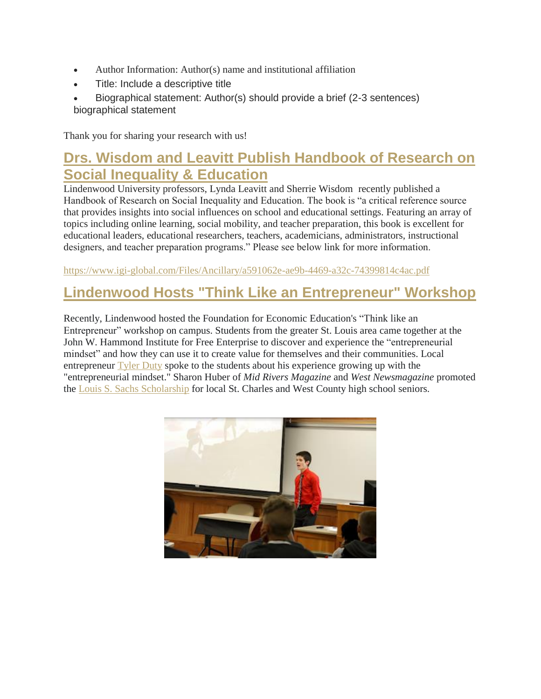- Author Information: Author(s) name and institutional affiliation
- Title: Include a descriptive title
- Biographical statement: Author(s) should provide a brief (2-3 sentences) biographical statement

Thank you for sharing your research with us!

## **[Drs. Wisdom and Leavitt Publish Handbook of Research on](https://lindenwoodleadnews.blogspot.com/2019/08/drs-wisdom-leavitt-and-bice-publish.html)  [Social Inequality & Education](https://lindenwoodleadnews.blogspot.com/2019/08/drs-wisdom-leavitt-and-bice-publish.html)**

Lindenwood University professors, Lynda Leavitt and Sherrie Wisdom recently published a Handbook of Research on Social Inequality and Education. The book is "a critical reference source that provides insights into social influences on school and educational settings. Featuring an array of topics including online learning, social mobility, and teacher preparation, this book is excellent for educational leaders, educational researchers, teachers, academicians, administrators, instructional designers, and teacher preparation programs." Please see below link for more information.

## <https://www.igi-global.com/Files/Ancillary/a591062e-ae9b-4469-a32c-74399814c4ac.pdf>

## **[Lindenwood Hosts "Think Like an Entrepreneur" Workshop](https://lindenwoodleadnews.blogspot.com/2019/08/lindenwood-hosts-think-like.html)**

Recently, Lindenwood hosted the Foundation for Economic Education's "Think like an Entrepreneur" workshop on campus. Students from the greater St. Louis area came together at the John W. Hammond Institute for Free Enterprise to discover and experience the "entrepreneurial mindset" and how they can use it to create value for themselves and their communities. Local entrepreneur [Tyler](https://hes32-ctp.trendmicro.com/wis/clicktime/v1/query?url=http%3a%2f%2fwww.emeraldcutslandscaping.com&umid=2875b0b9-d817-4f2f-b316-09db67af776e&auth=bc7ac43e330fa629f0cfb11786c85e83c10d06b8-15be9af341b3e2fb3da015787b26feb449f18516) Duty spoke to the students about his experience growing up with the "entrepreneurial mindset." Sharon Huber of *Mid Rivers Magazine* and *West Newsmagazine* promoted the Louis S. Sachs [Scholarship](https://hes32-ctp.trendmicro.com/wis/clicktime/v1/query?url=http%3a%2f%2fwww.progress64west.org&umid=2875b0b9-d817-4f2f-b316-09db67af776e&auth=bc7ac43e330fa629f0cfb11786c85e83c10d06b8-6d0e832d02a3c2df391a79efbfa042de42422e2b) for local St. Charles and West County high school seniors.

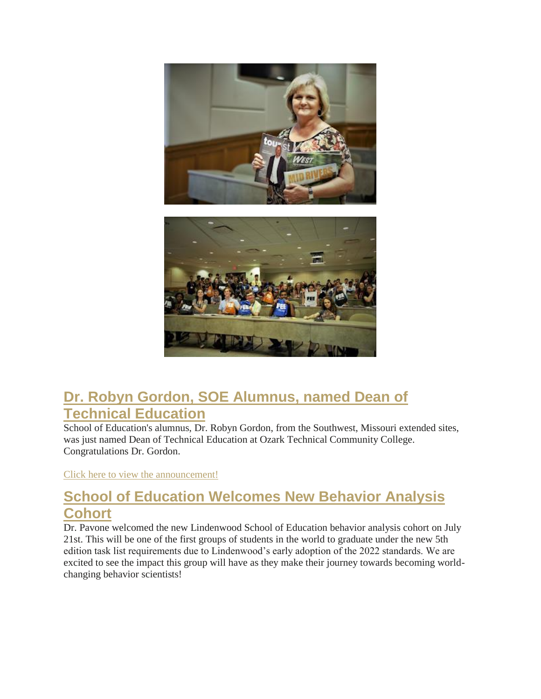



# **[Dr. Robyn Gordon, SOE Alumnus, named Dean of](https://lindenwoodleadnews.blogspot.com/2019/08/dr-robyn-gordon-soe-alumnus-named-dean.html)  [Technical Education](https://lindenwoodleadnews.blogspot.com/2019/08/dr-robyn-gordon-soe-alumnus-named-dean.html)**

School of Education's alumnus, Dr. Robyn Gordon, from the Southwest, Missouri extended sites, was just named Dean of Technical Education at Ozark Technical Community College. Congratulations Dr. Gordon.

[Click here to view the announcement!](https://news.otc.edu/gordon-named-dean-of-technical-education/)

## **[School of Education Welcomes New Behavior Analysis](https://lindenwoodleadnews.blogspot.com/2019/08/school-of-education-welcomes-new.html)  [Cohort](https://lindenwoodleadnews.blogspot.com/2019/08/school-of-education-welcomes-new.html)**

Dr. Pavone welcomed the new Lindenwood School of Education behavior analysis cohort on July 21st. This will be one of the first groups of students in the world to graduate under the new 5th edition task list requirements due to Lindenwood's early adoption of the 2022 standards. We are excited to see the impact this group will have as they make their journey towards becoming worldchanging behavior scientists!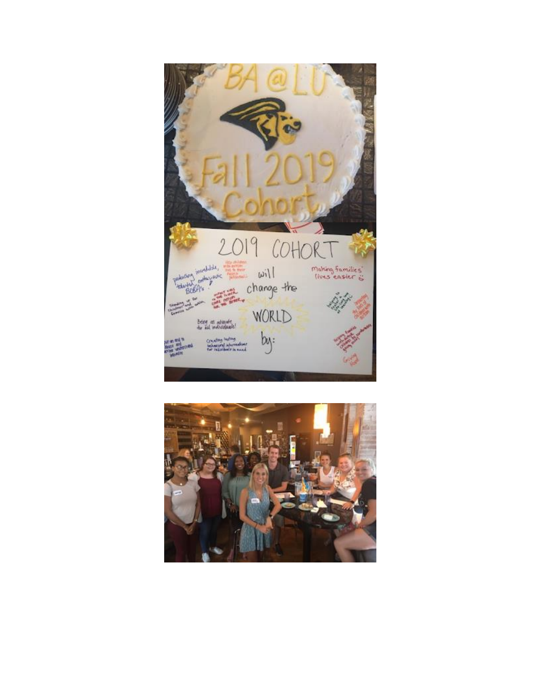

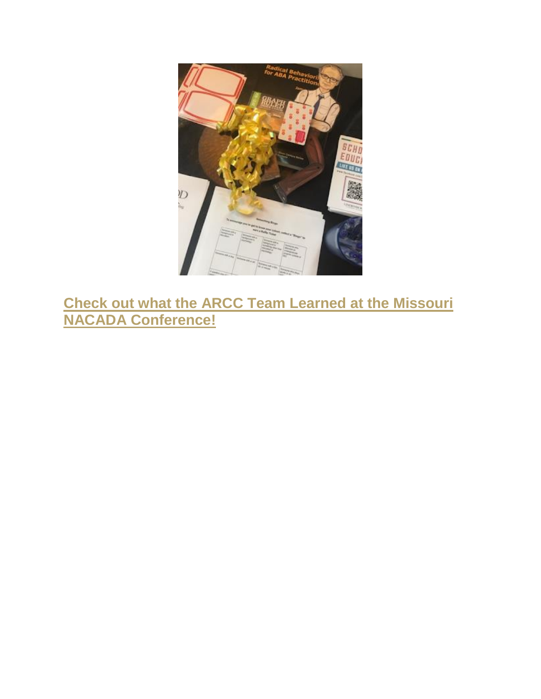

**[Check out what the ARCC Team Learned at the Missouri](https://lindenwoodleadnews.blogspot.com/2019/08/check-out-what-arcc-team-learned-at.html)  [NACADA Conference!](https://lindenwoodleadnews.blogspot.com/2019/08/check-out-what-arcc-team-learned-at.html)**